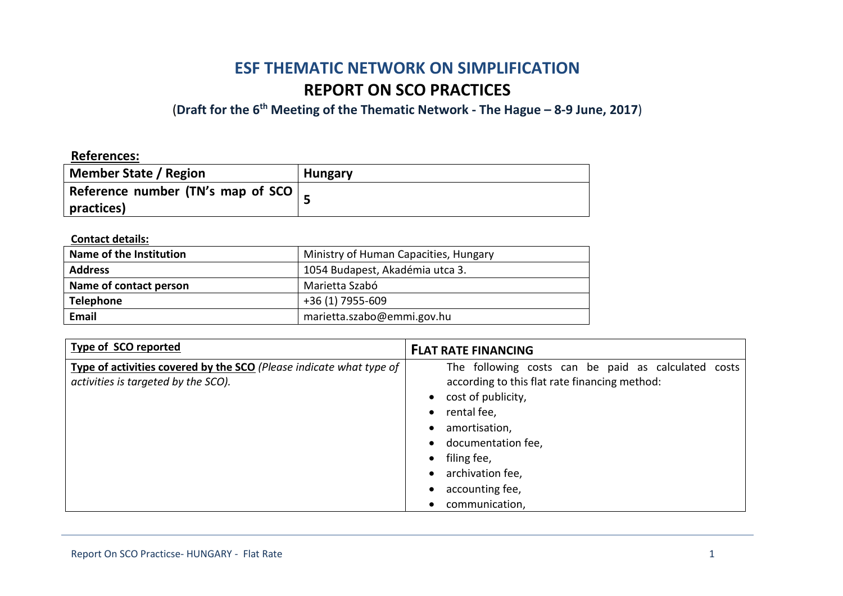# **ESF THEMATIC NETWORK ON SIMPLIFICATION REPORT ON SCO PRACTICES**

(**Draft for the 6th Meeting of the Thematic Network - The Hague – 8-9 June, 2017**)

# **References:**

| Member State / Region                       | <b>Hungary</b> |
|---------------------------------------------|----------------|
| Reference number (TN's map of SCO $\vert$ _ |                |
| practices)                                  |                |

# **Contact details:**

| Name of the Institution | Ministry of Human Capacities, Hungary |
|-------------------------|---------------------------------------|
| <b>Address</b>          | 1054 Budapest, Akadémia utca 3.       |
| Name of contact person  | Marietta Szabó                        |
| <b>Telephone</b>        | +36 (1) 7955-609                      |
| <b>Email</b>            | marietta.szabo@emmi.gov.hu            |

| Type of SCO reported                                                                                       | <b>FLAT RATE FINANCING</b>                                                                                                                                                                                                                               |
|------------------------------------------------------------------------------------------------------------|----------------------------------------------------------------------------------------------------------------------------------------------------------------------------------------------------------------------------------------------------------|
| Type of activities covered by the SCO (Please indicate what type of<br>activities is targeted by the SCO). | The following costs can be paid as calculated costs<br>according to this flat rate financing method:<br>cost of publicity,<br>rental fee,<br>amortisation,<br>documentation fee,<br>filing fee,<br>archivation fee,<br>accounting fee,<br>communication, |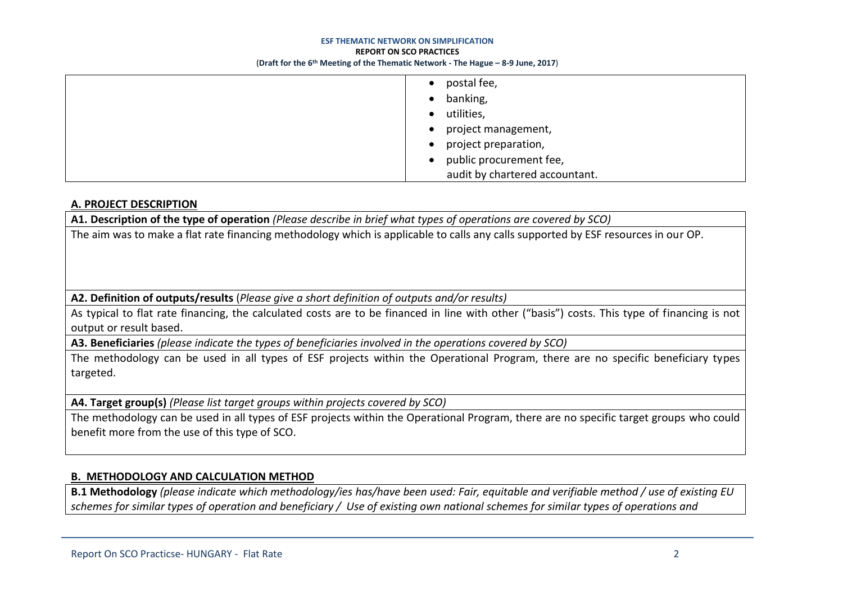#### **ESF THEMATIC NETWORK ON SIMPLIFICATION**

#### **REPORT ON SCO PRACTICES**

(**Draft for the 6th Meeting of the Thematic Network - The Hague – 8-9 June, 2017**)

| postal fee,                    |
|--------------------------------|
| banking,<br>$\bullet$          |
| utilities,                     |
| project management,            |
| project preparation,           |
| public procurement fee,        |
| audit by chartered accountant. |

## **A. PROJECT DESCRIPTION**

**A1. Description of the type of operation** *(Please describe in brief what types of operations are covered by SCO)*

The aim was to make a flat rate financing methodology which is applicable to calls any calls supported by ESF resources in our OP.

**A2. Definition of outputs/results** (*Please give a short definition of outputs and/or results)*

As typical to flat rate financing, the calculated costs are to be financed in line with other ("basis") costs. This type of financing is not output or result based.

**A3. Beneficiaries** *(please indicate the types of beneficiaries involved in the operations covered by SCO)*

The methodology can be used in all types of ESF projects within the Operational Program, there are no specific beneficiary types targeted.

**A4. Target group(s)** *(Please list target groups within projects covered by SCO)*

The methodology can be used in all types of ESF projects within the Operational Program, there are no specific target groups who could benefit more from the use of this type of SCO.

# **B. METHODOLOGY AND CALCULATION METHOD**

**B.1 Methodology** *(please indicate which methodology/ies has/have been used: Fair, equitable and verifiable method / use of existing EU schemes for similar types of operation and beneficiary / Use of existing own national schemes for similar types of operations and*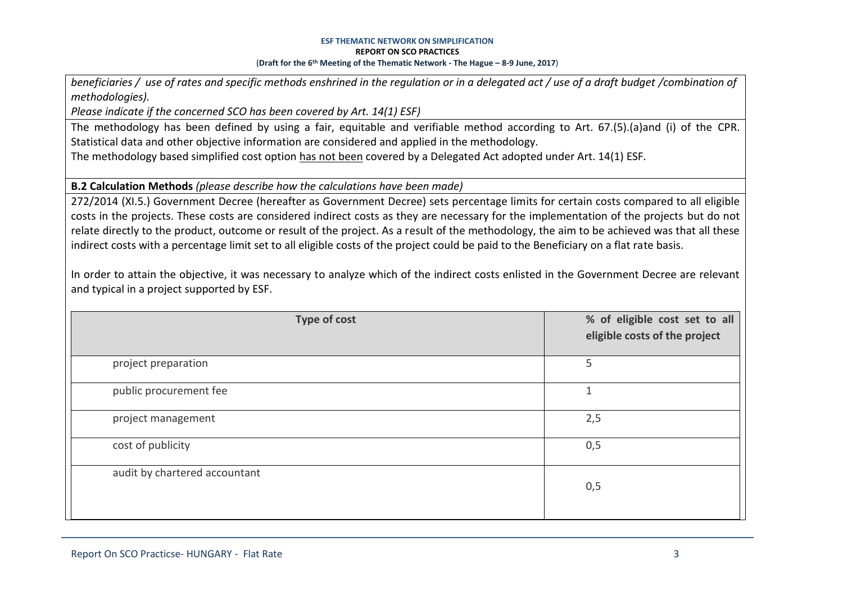*beneficiaries / use of rates and specific methods enshrined in the regulation or in a delegated act / use of a draft budget /combination of methodologies).*

*Please indicate if the concerned SCO has been covered by Art. 14(1) ESF)*

The methodology has been defined by using a fair, equitable and verifiable method according to Art. 67.(5).(a)and (i) of the CPR. Statistical data and other objective information are considered and applied in the methodology.

The methodology based simplified cost option has not been covered by a Delegated Act adopted under Art. 14(1) ESF.

**B.2 Calculation Methods** *(please describe how the calculations have been made)*

272/2014 (XI.5.) Government Decree (hereafter as Government Decree) sets percentage limits for certain costs compared to all eligible costs in the projects. These costs are considered indirect costs as they are necessary for the implementation of the projects but do not relate directly to the product, outcome or result of the project. As a result of the methodology, the aim to be achieved was that all these indirect costs with a percentage limit set to all eligible costs of the project could be paid to the Beneficiary on a flat rate basis.

In order to attain the objective, it was necessary to analyze which of the indirect costs enlisted in the Government Decree are relevant and typical in a project supported by ESF.

| <b>Type of cost</b>           | % of eligible cost set to all<br>eligible costs of the project |
|-------------------------------|----------------------------------------------------------------|
| project preparation           | 5                                                              |
| public procurement fee        | 1                                                              |
| project management            | 2,5                                                            |
| cost of publicity             | 0,5                                                            |
| audit by chartered accountant | 0,5                                                            |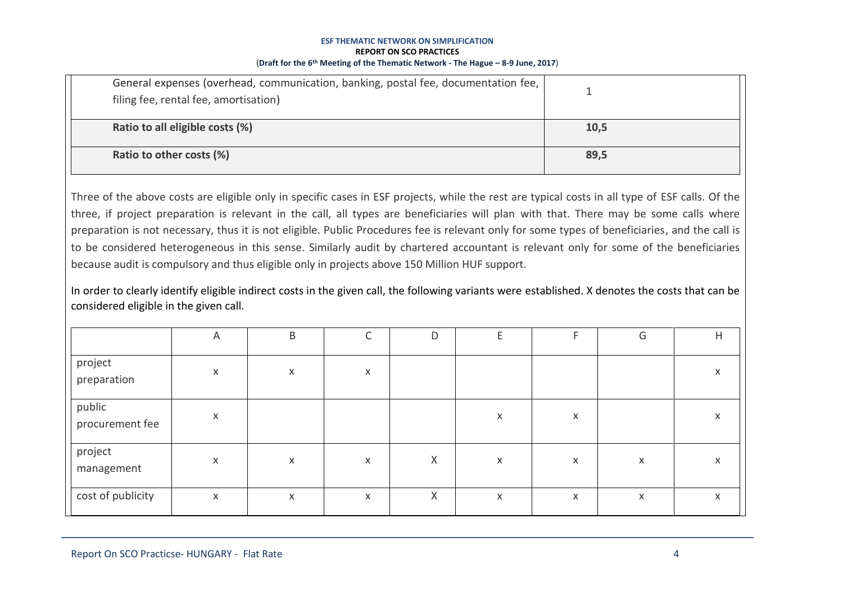| General expenses (overhead, communication, banking, postal fee, documentation fee,<br>filing fee, rental fee, amortisation) |      |
|-----------------------------------------------------------------------------------------------------------------------------|------|
| Ratio to all eligible costs (%)                                                                                             | 10,5 |
| Ratio to other costs (%)                                                                                                    | 89,5 |

Three of the above costs are eligible only in specific cases in ESF projects, while the rest are typical costs in all type of ESF calls. Of the three, if project preparation is relevant in the call, all types are beneficiaries will plan with that. There may be some calls where preparation is not necessary, thus it is not eligible. Public Procedures fee is relevant only for some types of beneficiaries, and the call is to be considered heterogeneous in this sense. Similarly audit by chartered accountant is relevant only for some of the beneficiaries because audit is compulsory and thus eligible only in projects above 150 Million HUF support.

In order to clearly identify eligible indirect costs in the given call, the following variants were established. X denotes the costs that can be considered eligible in the given call.

|                           | A | B |              | D |              | Е | G | Н |
|---------------------------|---|---|--------------|---|--------------|---|---|---|
| project<br>preparation    | X | X | $\mathsf{X}$ |   |              |   |   | X |
| public<br>procurement fee | X |   |              |   | $\mathsf{x}$ | X |   | X |
| project<br>management     | X | X | $\mathsf{x}$ | X | X            | X | X | X |
| cost of publicity         | X | X | $\mathsf{X}$ | Χ | X            | X | X | X |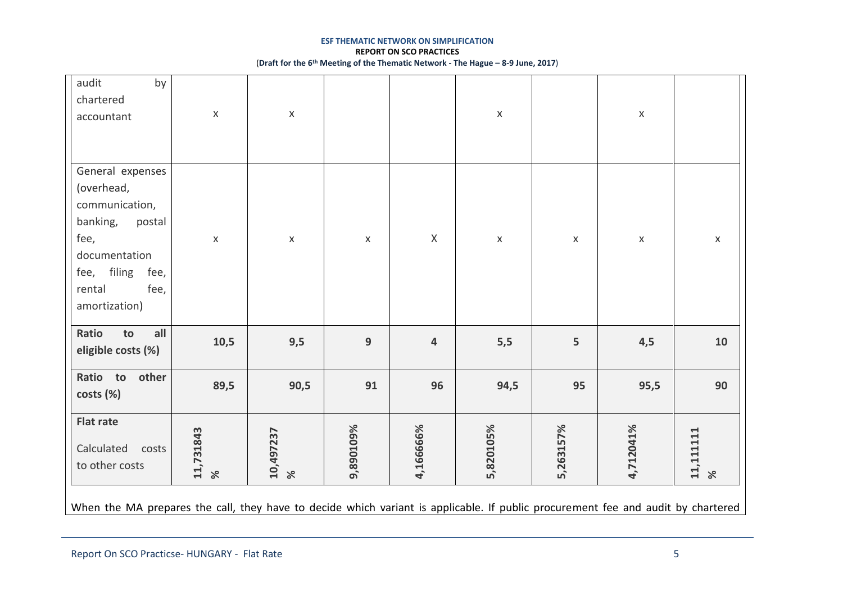| audit<br>by<br>chartered<br>accountant                                                                                                                       | $\mathsf X$           | $\mathsf X$           |             |             | $\mathsf X$ |             | $\mathsf X$ |                        |
|--------------------------------------------------------------------------------------------------------------------------------------------------------------|-----------------------|-----------------------|-------------|-------------|-------------|-------------|-------------|------------------------|
| General expenses<br>(overhead,<br>communication,<br>banking,<br>postal<br>fee,<br>documentation<br>filing<br>fee,<br>fee,<br>fee,<br>rental<br>amortization) | $\pmb{\mathsf{X}}$    | $\mathsf X$           | $\mathsf X$ | $\mathsf X$ | $\mathsf X$ | $\mathsf X$ | $\mathsf X$ | $\mathsf X$            |
| all<br>Ratio<br>to<br>eligible costs (%)                                                                                                                     | 10,5                  | 9,5                   | 9           | 4           | 5,5         | 5           | 4,5         | 10                     |
| other<br>Ratio to<br>costs (%)                                                                                                                               | 89,5                  | 90,5                  | 91          | 96          | 94,5        | 95          | 95,5        | 90                     |
| <b>Flat rate</b><br>Calculated<br>costs<br>to other costs                                                                                                    | 11,731843<br>$\aleph$ | 10,497237<br>$\aleph$ | 9,890109%   | 4,166666%   | 5,820105%   | 5,263157%   | 4,712041%   | 11,1111111<br>$\aleph$ |
| When the MA prepares the call, they have to decide which variant is applicable. If public procurement fee and audit by chartered                             |                       |                       |             |             |             |             |             |                        |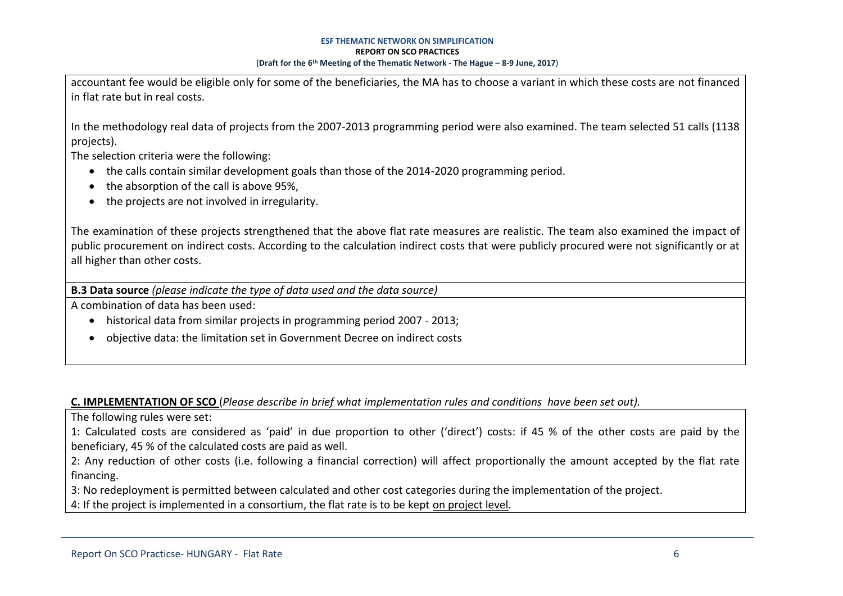accountant fee would be eligible only for some of the beneficiaries, the MA has to choose a variant in which these costs are not financed in flat rate but in real costs.

In the methodology real data of projects from the 2007-2013 programming period were also examined. The team selected 51 calls (1138 projects).

The selection criteria were the following:

- the calls contain similar development goals than those of the 2014-2020 programming period.
- the absorption of the call is above 95%,
- the projects are not involved in irregularity.

The examination of these projects strengthened that the above flat rate measures are realistic. The team also examined the impact of public procurement on indirect costs. According to the calculation indirect costs that were publicly procured were not significantly or at all higher than other costs.

**B.3 Data source** *(please indicate the type of data used and the data source)*

A combination of data has been used:

- historical data from similar projects in programming period 2007 2013;
- objective data: the limitation set in Government Decree on indirect costs

# **C. IMPLEMENTATION OF SCO** (*Please describe in brief what implementation rules and conditions have been set out).*

The following rules were set:

1: Calculated costs are considered as 'paid' in due proportion to other ('direct') costs: if 45 % of the other costs are paid by the beneficiary, 45 % of the calculated costs are paid as well.

2: Any reduction of other costs (i.e. following a financial correction) will affect proportionally the amount accepted by the flat rate financing.

3: No redeployment is permitted between calculated and other cost categories during the implementation of the project.

4: If the project is implemented in a consortium, the flat rate is to be kept on project level.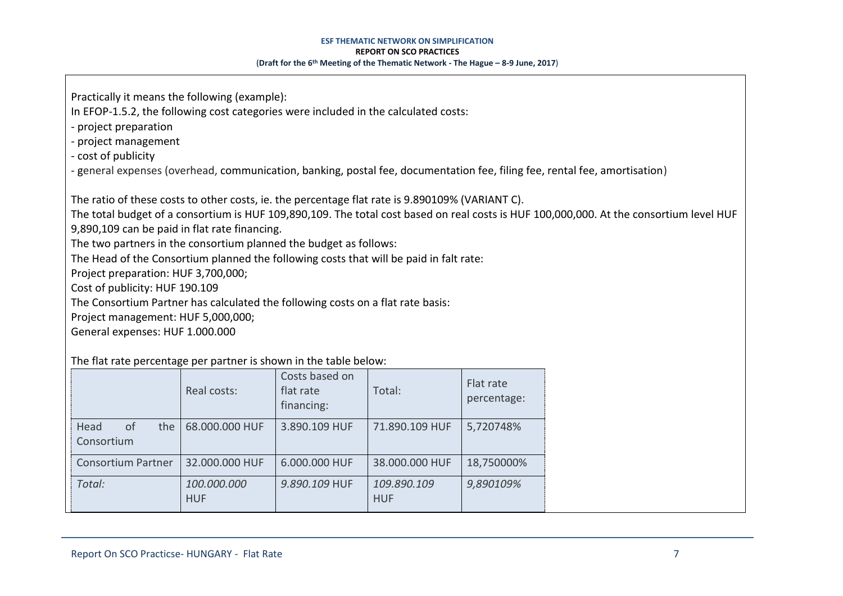Practically it means the following (example):

In EFOP-1.5.2, the following cost categories were included in the calculated costs:

- project preparation

- project management

- cost of publicity

- general expenses (overhead, communication, banking, postal fee, documentation fee, filing fee, rental fee, amortisation)

The ratio of these costs to other costs, ie. the percentage flat rate is 9.890109% (VARIANT C).

The total budget of a consortium is HUF 109,890,109. The total cost based on real costs is HUF 100,000,000. At the consortium level HUF

9,890,109 can be paid in flat rate financing.

The two partners in the consortium planned the budget as follows:

The Head of the Consortium planned the following costs that will be paid in falt rate:

Project preparation: HUF 3,700,000;

Cost of publicity: HUF 190.109

The Consortium Partner has calculated the following costs on a flat rate basis:

Project management: HUF 5,000,000;

General expenses: HUF 1.000.000

The flat rate percentage per partner is shown in the table below:

|                                            | Real costs:               | Costs based on<br>flat rate<br>financing: | Total:                    | Flat rate<br>percentage: |  |
|--------------------------------------------|---------------------------|-------------------------------------------|---------------------------|--------------------------|--|
| Head<br><sub>of</sub><br>the<br>Consortium | 68.000.000 HUF            | 3.890.109 HUF                             | 71.890.109 HUF            | 5,720748%                |  |
| <b>Consortium Partner</b>                  | 32.000.000 HUF            | 6.000.000 HUF                             | 38.000.000 HUF            | 18,750000%               |  |
| Total:                                     | 100.000.000<br><b>HUF</b> | 9.890.109 HUF                             | 109.890.109<br><b>HUF</b> | 9,890109%                |  |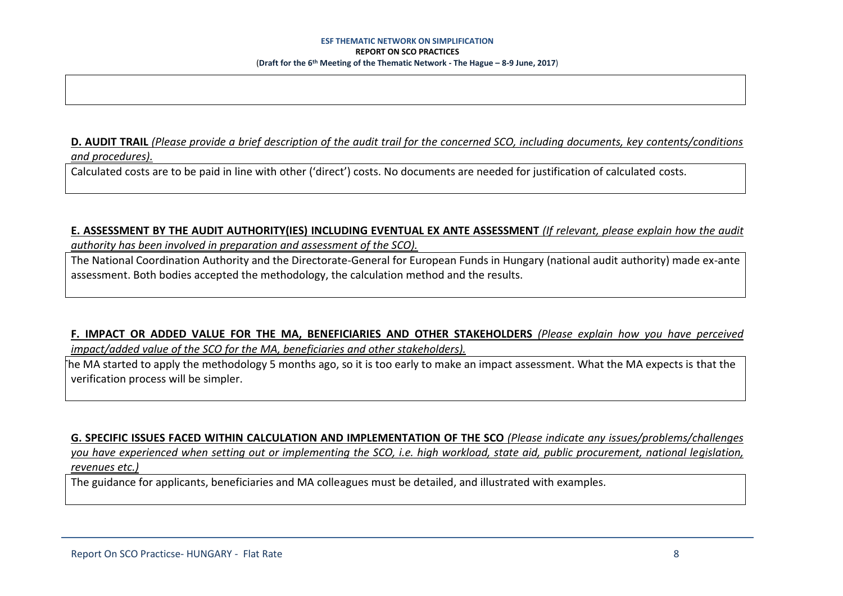**D. AUDIT TRAIL** *(Please provide a brief description of the audit trail for the concerned SCO, including documents, key contents/conditions and procedures).*

Calculated costs are to be paid in line with other ('direct') costs. No documents are needed for justification of calculated costs.

## **E. ASSESSMENT BY THE AUDIT AUTHORITY(IES) INCLUDING EVENTUAL EX ANTE ASSESSMENT** *(If relevant, please explain how the audit*

*authority has been involved in preparation and assessment of the SCO).* 

The National Coordination Authority and the Directorate-General for European Funds in Hungary (national audit authority) made ex-ante assessment. Both bodies accepted the methodology, the calculation method and the results.

**F. IMPACT OR ADDED VALUE FOR THE MA, BENEFICIARIES AND OTHER STAKEHOLDERS** *(Please explain how you have perceived impact/added value of the SCO for the MA, beneficiaries and other stakeholders).* 

- The MA started to apply the methodology 5 months ago, so it is too early to make an impact assessment. What the MA expects is that the verification process will be simpler.

**G. SPECIFIC ISSUES FACED WITHIN CALCULATION AND IMPLEMENTATION OF THE SCO** *(Please indicate any issues/problems/challenges you have experienced when setting out or implementing the SCO, i.e. high workload, state aid, public procurement, national legislation, revenues etc.)*

The guidance for applicants, beneficiaries and MA colleagues must be detailed, and illustrated with examples.